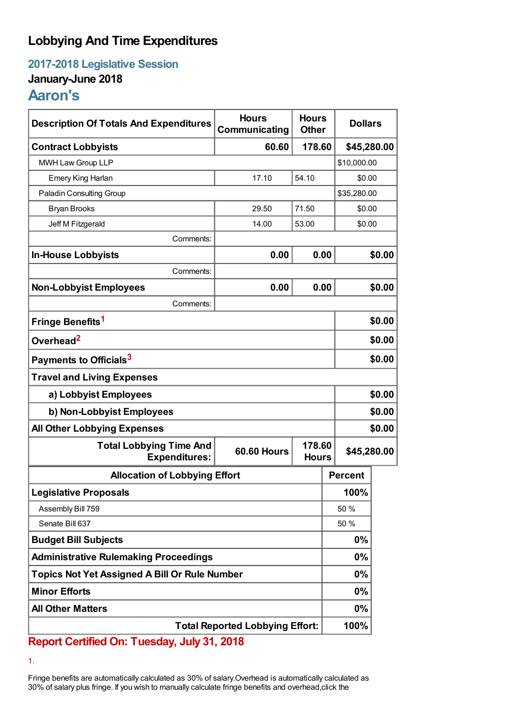## **Lobbying And Time Expenditures**

**2017-2018 Legislative Session**

## **January-June 2018**

## **Aaron's**

| <b>Description Of Totals And Expenditures</b>          | <b>Hours</b><br>Communicating                | <b>Hours</b><br><b>Other</b> | <b>Dollars</b> |             |  |
|--------------------------------------------------------|----------------------------------------------|------------------------------|----------------|-------------|--|
| <b>Contract Lobbyists</b>                              | 60.60<br>178.60                              |                              |                | \$45,280.00 |  |
| MWH Law Group LLP                                      |                                              |                              |                | \$10,000.00 |  |
| Emery King Harlan                                      | 17.10                                        | 54.10                        |                | \$0.00      |  |
| Paladin Consulting Group                               |                                              |                              |                | \$35,280.00 |  |
| <b>Bryan Brooks</b>                                    | 29.50                                        | 71.50                        |                | \$0.00      |  |
| Jeff M Fitzgerald                                      | 14.00                                        | 53.00                        |                | \$0.00      |  |
| Comments:                                              |                                              |                              |                |             |  |
| <b>In-House Lobbyists</b>                              | 0.00                                         | 0.00                         |                | \$0.00      |  |
| Comments:                                              |                                              |                              |                |             |  |
| <b>Non-Lobbyist Employees</b>                          | 0.00                                         | 0.00                         |                | \$0.00      |  |
| Comments:                                              |                                              |                              |                |             |  |
| Fringe Benefits <sup>1</sup>                           |                                              |                              |                | \$0.00      |  |
| Overhead <sup>2</sup>                                  |                                              |                              |                | \$0.00      |  |
| Payments to Officials <sup>3</sup>                     |                                              |                              |                | \$0.00      |  |
| <b>Travel and Living Expenses</b>                      |                                              |                              |                |             |  |
| a) Lobbyist Employees                                  |                                              |                              |                | \$0.00      |  |
| b) Non-Lobbyist Employees                              |                                              |                              |                | \$0.00      |  |
| <b>All Other Lobbying Expenses</b>                     |                                              |                              |                | \$0.00      |  |
| <b>Total Lobbying Time And</b><br><b>Expenditures:</b> | 178.60<br><b>60.60 Hours</b><br><b>Hours</b> |                              |                | \$45,280.00 |  |
| <b>Allocation of Lobbying Effort</b>                   |                                              |                              | <b>Percent</b> |             |  |
| <b>Legislative Proposals</b>                           |                                              |                              | 100%           |             |  |
| Assembly Bill 759                                      |                                              |                              | 50 %           |             |  |
| Senate Bill 637                                        |                                              |                              | 50 %           |             |  |
| <b>Budget Bill Subjects</b>                            |                                              |                              | 0%             |             |  |
| <b>Administrative Rulemaking Proceedings</b>           |                                              |                              | 0%             |             |  |
| <b>Topics Not Yet Assigned A Bill Or Rule Number</b>   |                                              |                              | 0%             |             |  |
| <b>Minor Efforts</b>                                   |                                              |                              | 0%             |             |  |
| <b>All Other Matters</b>                               |                                              |                              | 0%             |             |  |
| <b>Total Reported Lobbying Effort:</b>                 |                                              |                              | 100%           |             |  |

**Report Certified On: Tuesday, July 31, 2018**

1.

Fringe benefits are automatically calculated as 30% of salary.Overhead is automatically calculated as 30% of salary plus fringe. If you wish to manually calculate fringe benefits and overhead,click the